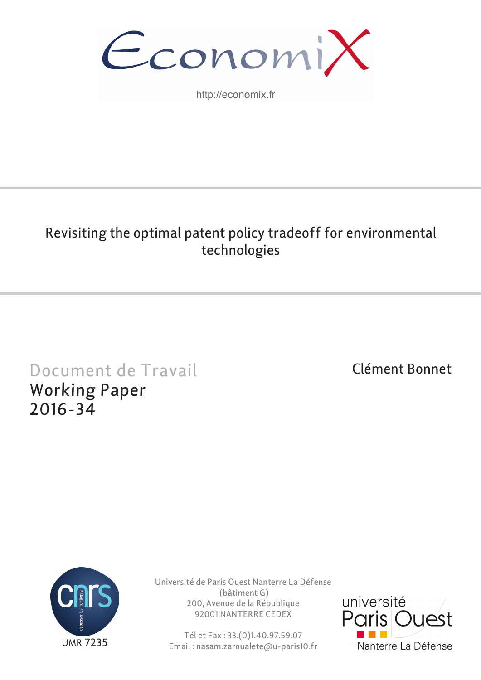

http://economix.fr

## Revisiting the optimal patent policy tradeoff for environmental technologies

# Document de Travail Working Paper 2016-34

## Clément Bonnet



Université de Paris Ouest Nanterre La Défense (bâtiment G) 200, Avenue de la République 92001 NANTERRE CEDEX

Tél et Fax : 33.(0)1.40.97.59.07 Email : nasam.zaroualete@u-paris10.fr

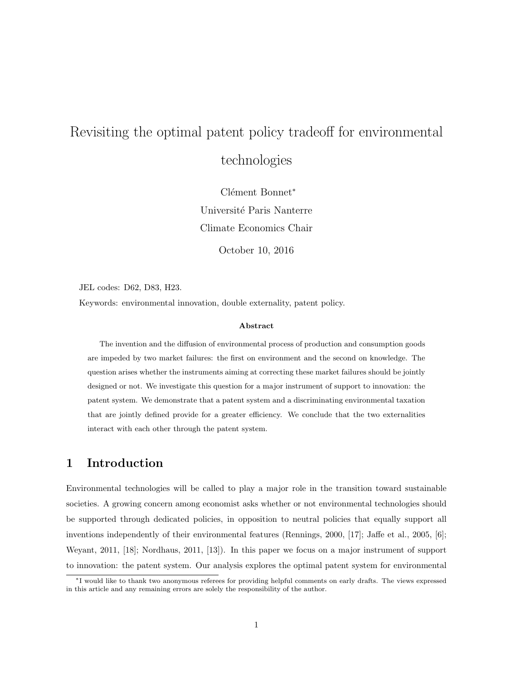## Revisiting the optimal patent policy tradeoff for environmental technologies

Clément Bonnet<sup>∗</sup> Université Paris Nanterre Climate Economics Chair

October 10, 2016

JEL codes: D62, D83, H23.

Keywords: environmental innovation, double externality, patent policy.

#### Abstract

The invention and the diffusion of environmental process of production and consumption goods are impeded by two market failures: the first on environment and the second on knowledge. The question arises whether the instruments aiming at correcting these market failures should be jointly designed or not. We investigate this question for a major instrument of support to innovation: the patent system. We demonstrate that a patent system and a discriminating environmental taxation that are jointly defined provide for a greater efficiency. We conclude that the two externalities interact with each other through the patent system.

#### 1 Introduction

Environmental technologies will be called to play a major role in the transition toward sustainable societies. A growing concern among economist asks whether or not environmental technologies should be supported through dedicated policies, in opposition to neutral policies that equally support all inventions independently of their environmental features (Rennings, 2000, [17]; Jaffe et al., 2005, [6]; Weyant, 2011, [18]; Nordhaus, 2011, [13]). In this paper we focus on a major instrument of support to innovation: the patent system. Our analysis explores the optimal patent system for environmental

<sup>∗</sup>I would like to thank two anonymous referees for providing helpful comments on early drafts. The views expressed in this article and any remaining errors are solely the responsibility of the author.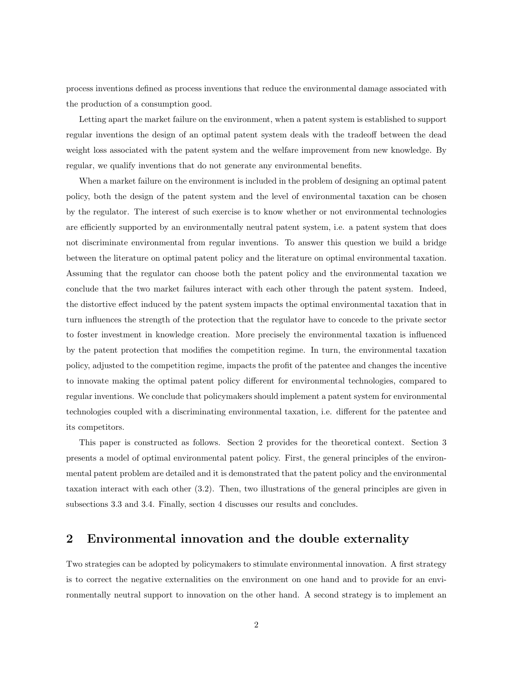process inventions defined as process inventions that reduce the environmental damage associated with the production of a consumption good.

Letting apart the market failure on the environment, when a patent system is established to support regular inventions the design of an optimal patent system deals with the tradeoff between the dead weight loss associated with the patent system and the welfare improvement from new knowledge. By regular, we qualify inventions that do not generate any environmental benefits.

When a market failure on the environment is included in the problem of designing an optimal patent policy, both the design of the patent system and the level of environmental taxation can be chosen by the regulator. The interest of such exercise is to know whether or not environmental technologies are efficiently supported by an environmentally neutral patent system, i.e. a patent system that does not discriminate environmental from regular inventions. To answer this question we build a bridge between the literature on optimal patent policy and the literature on optimal environmental taxation. Assuming that the regulator can choose both the patent policy and the environmental taxation we conclude that the two market failures interact with each other through the patent system. Indeed, the distortive effect induced by the patent system impacts the optimal environmental taxation that in turn influences the strength of the protection that the regulator have to concede to the private sector to foster investment in knowledge creation. More precisely the environmental taxation is influenced by the patent protection that modifies the competition regime. In turn, the environmental taxation policy, adjusted to the competition regime, impacts the profit of the patentee and changes the incentive to innovate making the optimal patent policy different for environmental technologies, compared to regular inventions. We conclude that policymakers should implement a patent system for environmental technologies coupled with a discriminating environmental taxation, i.e. different for the patentee and its competitors.

This paper is constructed as follows. Section 2 provides for the theoretical context. Section 3 presents a model of optimal environmental patent policy. First, the general principles of the environmental patent problem are detailed and it is demonstrated that the patent policy and the environmental taxation interact with each other (3.2). Then, two illustrations of the general principles are given in subsections 3.3 and 3.4. Finally, section 4 discusses our results and concludes.

#### 2 Environmental innovation and the double externality

Two strategies can be adopted by policymakers to stimulate environmental innovation. A first strategy is to correct the negative externalities on the environment on one hand and to provide for an environmentally neutral support to innovation on the other hand. A second strategy is to implement an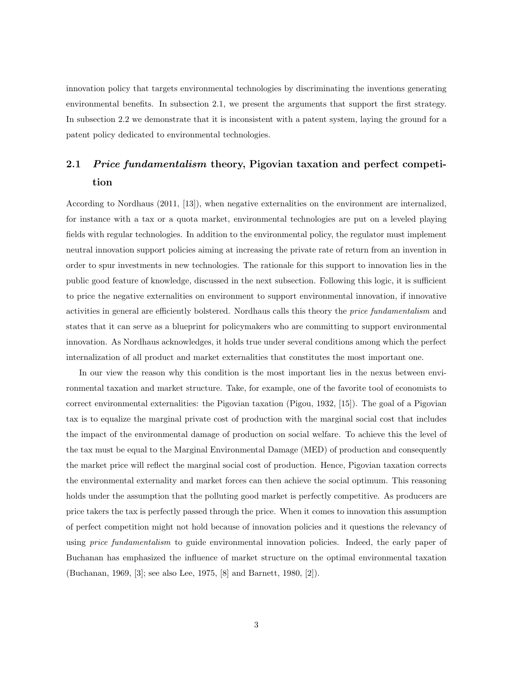innovation policy that targets environmental technologies by discriminating the inventions generating environmental benefits. In subsection 2.1, we present the arguments that support the first strategy. In subsection 2.2 we demonstrate that it is inconsistent with a patent system, laying the ground for a patent policy dedicated to environmental technologies.

## 2.1 *Price fundamentalism* theory, Pigovian taxation and perfect competition

According to Nordhaus (2011, [13]), when negative externalities on the environment are internalized, for instance with a tax or a quota market, environmental technologies are put on a leveled playing fields with regular technologies. In addition to the environmental policy, the regulator must implement neutral innovation support policies aiming at increasing the private rate of return from an invention in order to spur investments in new technologies. The rationale for this support to innovation lies in the public good feature of knowledge, discussed in the next subsection. Following this logic, it is sufficient to price the negative externalities on environment to support environmental innovation, if innovative activities in general are efficiently bolstered. Nordhaus calls this theory the *price fundamentalism* and states that it can serve as a blueprint for policymakers who are committing to support environmental innovation. As Nordhaus acknowledges, it holds true under several conditions among which the perfect internalization of all product and market externalities that constitutes the most important one.

In our view the reason why this condition is the most important lies in the nexus between environmental taxation and market structure. Take, for example, one of the favorite tool of economists to correct environmental externalities: the Pigovian taxation (Pigou, 1932, [15]). The goal of a Pigovian tax is to equalize the marginal private cost of production with the marginal social cost that includes the impact of the environmental damage of production on social welfare. To achieve this the level of the tax must be equal to the Marginal Environmental Damage (MED) of production and consequently the market price will reflect the marginal social cost of production. Hence, Pigovian taxation corrects the environmental externality and market forces can then achieve the social optimum. This reasoning holds under the assumption that the polluting good market is perfectly competitive. As producers are price takers the tax is perfectly passed through the price. When it comes to innovation this assumption of perfect competition might not hold because of innovation policies and it questions the relevancy of using *price fundamentalism* to guide environmental innovation policies. Indeed, the early paper of Buchanan has emphasized the influence of market structure on the optimal environmental taxation (Buchanan, 1969, [3]; see also Lee, 1975, [8] and Barnett, 1980, [2]).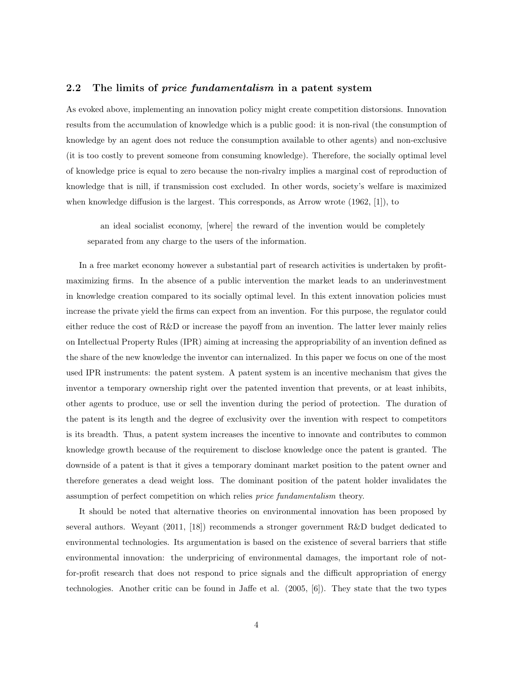#### 2.2 The limits of *price fundamentalism* in a patent system

As evoked above, implementing an innovation policy might create competition distorsions. Innovation results from the accumulation of knowledge which is a public good: it is non-rival (the consumption of knowledge by an agent does not reduce the consumption available to other agents) and non-exclusive (it is too costly to prevent someone from consuming knowledge). Therefore, the socially optimal level of knowledge price is equal to zero because the non-rivalry implies a marginal cost of reproduction of knowledge that is nill, if transmission cost excluded. In other words, society's welfare is maximized when knowledge diffusion is the largest. This corresponds, as Arrow wrote (1962, [1]), to

an ideal socialist economy, [where] the reward of the invention would be completely separated from any charge to the users of the information.

In a free market economy however a substantial part of research activities is undertaken by profitmaximizing firms. In the absence of a public intervention the market leads to an underinvestment in knowledge creation compared to its socially optimal level. In this extent innovation policies must increase the private yield the firms can expect from an invention. For this purpose, the regulator could either reduce the cost of R&D or increase the payoff from an invention. The latter lever mainly relies on Intellectual Property Rules (IPR) aiming at increasing the appropriability of an invention defined as the share of the new knowledge the inventor can internalized. In this paper we focus on one of the most used IPR instruments: the patent system. A patent system is an incentive mechanism that gives the inventor a temporary ownership right over the patented invention that prevents, or at least inhibits, other agents to produce, use or sell the invention during the period of protection. The duration of the patent is its length and the degree of exclusivity over the invention with respect to competitors is its breadth. Thus, a patent system increases the incentive to innovate and contributes to common knowledge growth because of the requirement to disclose knowledge once the patent is granted. The downside of a patent is that it gives a temporary dominant market position to the patent owner and therefore generates a dead weight loss. The dominant position of the patent holder invalidates the assumption of perfect competition on which relies price fundamentalism theory.

It should be noted that alternative theories on environmental innovation has been proposed by several authors. Weyant (2011, [18]) recommends a stronger government R&D budget dedicated to environmental technologies. Its argumentation is based on the existence of several barriers that stifle environmental innovation: the underpricing of environmental damages, the important role of notfor-profit research that does not respond to price signals and the difficult appropriation of energy technologies. Another critic can be found in Jaffe et al. (2005, [6]). They state that the two types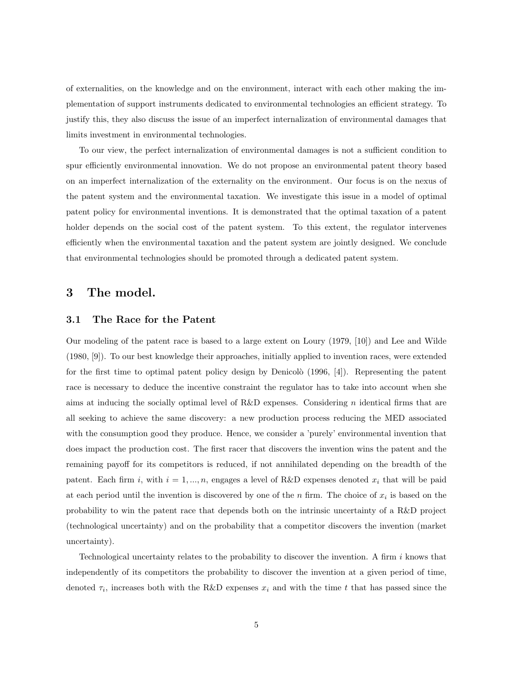of externalities, on the knowledge and on the environment, interact with each other making the implementation of support instruments dedicated to environmental technologies an efficient strategy. To justify this, they also discuss the issue of an imperfect internalization of environmental damages that limits investment in environmental technologies.

To our view, the perfect internalization of environmental damages is not a sufficient condition to spur efficiently environmental innovation. We do not propose an environmental patent theory based on an imperfect internalization of the externality on the environment. Our focus is on the nexus of the patent system and the environmental taxation. We investigate this issue in a model of optimal patent policy for environmental inventions. It is demonstrated that the optimal taxation of a patent holder depends on the social cost of the patent system. To this extent, the regulator intervenes efficiently when the environmental taxation and the patent system are jointly designed. We conclude that environmental technologies should be promoted through a dedicated patent system.

#### 3 The model.

#### 3.1 The Race for the Patent

Our modeling of the patent race is based to a large extent on Loury (1979, [10]) and Lee and Wilde (1980, [9]). To our best knowledge their approaches, initially applied to invention races, were extended for the first time to optimal patent policy design by Denicolò  $(1996, 4)$ . Representing the patent race is necessary to deduce the incentive constraint the regulator has to take into account when she aims at inducing the socially optimal level of R&D expenses. Considering n identical firms that are all seeking to achieve the same discovery: a new production process reducing the MED associated with the consumption good they produce. Hence, we consider a 'purely' environmental invention that does impact the production cost. The first racer that discovers the invention wins the patent and the remaining payoff for its competitors is reduced, if not annihilated depending on the breadth of the patent. Each firm i, with  $i = 1, ..., n$ , engages a level of R&D expenses denoted  $x_i$  that will be paid at each period until the invention is discovered by one of the n firm. The choice of  $x_i$  is based on the probability to win the patent race that depends both on the intrinsic uncertainty of a R&D project (technological uncertainty) and on the probability that a competitor discovers the invention (market uncertainty).

Technological uncertainty relates to the probability to discover the invention. A firm  $i$  knows that independently of its competitors the probability to discover the invention at a given period of time, denoted  $\tau_i$ , increases both with the R&D expenses  $x_i$  and with the time t that has passed since the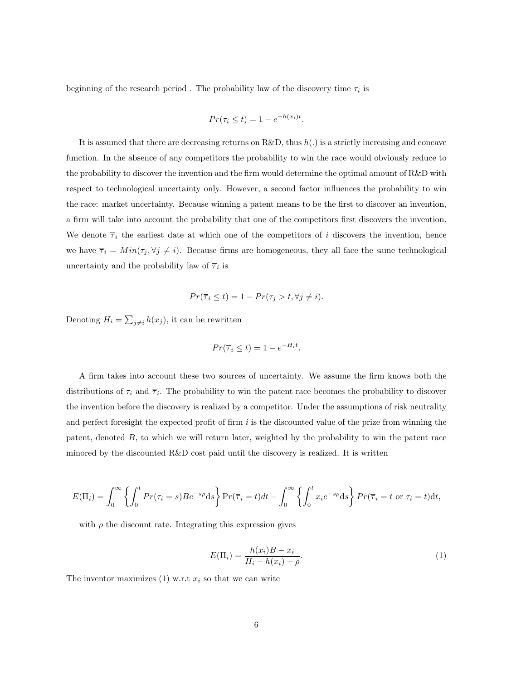beginning of the research period. The probability law of the discovery time  $\tau_i$  is

$$
Pr(\tau_i \le t) = 1 - e^{-h(x_i)t}.
$$

It is assumed that there are decreasing returns on R&D, thus  $h(.)$  is a strictly increasing and concave function. In the absence of any competitors the probability to win the race would obviously reduce to the probability to discover the invention and the firm would determine the optimal amount of R&D with respect to technological uncertainty only. However, a second factor influences the probability to win the race: market uncertainty. Because winning a patent means to be the first to discover an invention, a firm will take into account the probability that one of the competitors first discovers the invention. We denote  $\overline{\tau}_i$  the earliest date at which one of the competitors of i discovers the invention, hence we have  $\overline{\tau}_i = Min(\tau_j, \forall j \neq i)$ . Because firms are homogeneous, they all face the same technological uncertainty and the probability law of  $\overline{\tau}_i$  is

$$
Pr(\overline{\tau}_i \le t) = 1 - Pr(\tau_j > t, \forall j \ne i).
$$

Denoting  $H_i = \sum_{j \neq i} h(x_j)$ , it can be rewritten

$$
Pr(\overline{\tau}_i \le t) = 1 - e^{-H_i t}.
$$

A firm takes into account these two sources of uncertainty. We assume the firm knows both the distributions of  $\tau_i$  and  $\overline{\tau}_i$ . The probability to win the patent race becomes the probability to discover the invention before the discovery is realized by a competitor. Under the assumptions of risk neutrality and perfect foresight the expected profit of firm  $i$  is the discounted value of the prize from winning the patent, denoted  $B$ , to which we will return later, weighted by the probability to win the patent race minored by the discounted R&D cost paid until the discovery is realized. It is written

$$
E(\Pi_i) = \int_0^\infty \left\{ \int_0^t Pr(\tau_i = s) Be^{-s\rho} ds \right\} Pr(\overline{\tau}_i = t) dt - \int_0^\infty \left\{ \int_0^t x_i e^{-s\rho} ds \right\} Pr(\overline{\tau}_i = t \text{ or } \tau_i = t) dt,
$$

with  $\rho$  the discount rate. Integrating this expression gives

$$
E(\Pi_i) = \frac{h(x_i)B - x_i}{H_i + h(x_i) + \rho}.
$$
\n(1)

The inventor maximizes (1) w.r.t  $x_i$  so that we can write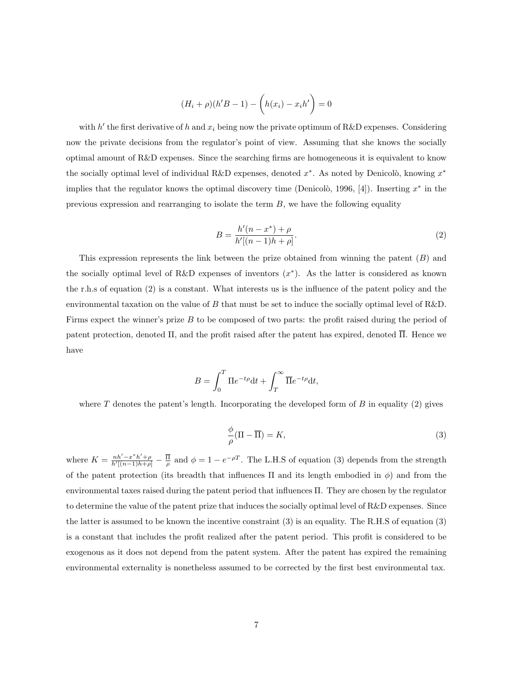$$
(H_i + \rho)(h'B - 1) - \left(h(x_i) - x_i h'\right) = 0
$$

with  $h'$  the first derivative of h and  $x_i$  being now the private optimum of R&D expenses. Considering now the private decisions from the regulator's point of view. Assuming that she knows the socially optimal amount of R&D expenses. Since the searching firms are homogeneous it is equivalent to know the socially optimal level of individual R&D expenses, denoted  $x^*$ . As noted by Denicolò, knowing  $x^*$ implies that the regulator knows the optimal discovery time (Denicolò, 1996, [4]). Inserting  $x^*$  in the previous expression and rearranging to isolate the term  $B$ , we have the following equality

$$
B = \frac{h'(n - x^*) + \rho}{h'[(n - 1)h + \rho]}.
$$
\n(2)

This expression represents the link between the prize obtained from winning the patent  $(B)$  and the socially optimal level of R&D expenses of inventors  $(x^*)$ . As the latter is considered as known the r.h.s of equation (2) is a constant. What interests us is the influence of the patent policy and the environmental taxation on the value of B that must be set to induce the socially optimal level of R&D. Firms expect the winner's prize  $B$  to be composed of two parts: the profit raised during the period of patent protection, denoted  $\Pi$ , and the profit raised after the patent has expired, denoted  $\overline{\Pi}$ . Hence we have

$$
B = \int_0^T \Pi e^{-t\rho} dt + \int_T^\infty \overline{\Pi} e^{-t\rho} dt,
$$

where  $T$  denotes the patent's length. Incorporating the developed form of  $B$  in equality (2) gives

$$
\frac{\phi}{\rho}(\Pi - \overline{\Pi}) = K,\tag{3}
$$

where  $K = \frac{nh'-x^*h'+\rho}{h'[(n-1)h+\rho]} - \frac{\overline{\Pi}}{\rho}$  and  $\phi = 1 - e^{-\rho T}$ . The L.H.S of equation (3) depends from the strength of the patent protection (its breadth that influences  $\Pi$  and its length embodied in  $\phi$ ) and from the environmental taxes raised during the patent period that influences Π. They are chosen by the regulator to determine the value of the patent prize that induces the socially optimal level of  $R\&D$  expenses. Since the latter is assumed to be known the incentive constraint (3) is an equality. The R.H.S of equation (3) is a constant that includes the profit realized after the patent period. This profit is considered to be exogenous as it does not depend from the patent system. After the patent has expired the remaining environmental externality is nonetheless assumed to be corrected by the first best environmental tax.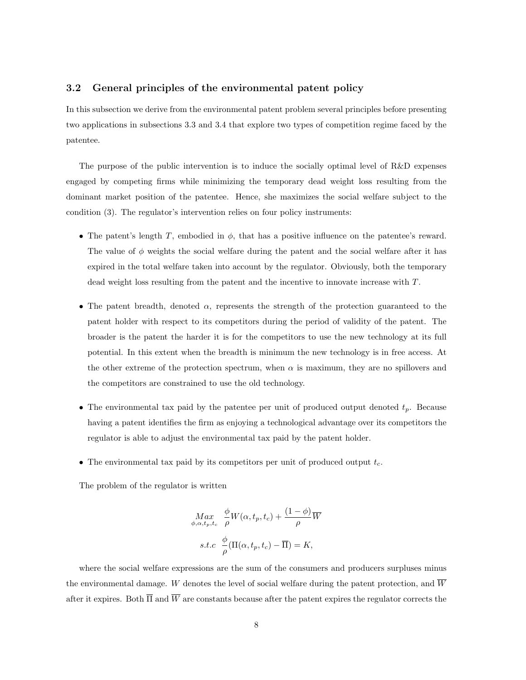#### 3.2 General principles of the environmental patent policy

In this subsection we derive from the environmental patent problem several principles before presenting two applications in subsections 3.3 and 3.4 that explore two types of competition regime faced by the patentee.

The purpose of the public intervention is to induce the socially optimal level of R&D expenses engaged by competing firms while minimizing the temporary dead weight loss resulting from the dominant market position of the patentee. Hence, she maximizes the social welfare subject to the condition (3). The regulator's intervention relies on four policy instruments:

- The patent's length  $T$ , embodied in  $\phi$ , that has a positive influence on the patentee's reward. The value of  $\phi$  weights the social welfare during the patent and the social welfare after it has expired in the total welfare taken into account by the regulator. Obviously, both the temporary dead weight loss resulting from the patent and the incentive to innovate increase with T.
- The patent breadth, denoted  $\alpha$ , represents the strength of the protection guaranteed to the patent holder with respect to its competitors during the period of validity of the patent. The broader is the patent the harder it is for the competitors to use the new technology at its full potential. In this extent when the breadth is minimum the new technology is in free access. At the other extreme of the protection spectrum, when  $\alpha$  is maximum, they are no spillovers and the competitors are constrained to use the old technology.
- The environmental tax paid by the patentee per unit of produced output denoted  $t_p$ . Because having a patent identifies the firm as enjoying a technological advantage over its competitors the regulator is able to adjust the environmental tax paid by the patent holder.
- The environmental tax paid by its competitors per unit of produced output  $t_c$ .

The problem of the regulator is written

$$
Max_{\phi,\alpha,t_p,t_c} \frac{\phi}{\rho} W(\alpha, t_p, t_c) + \frac{(1-\phi)}{\rho} \overline{W}
$$
  
s.t.c 
$$
\frac{\phi}{\rho} (\Pi(\alpha, t_p, t_c) - \overline{\Pi}) = K,
$$

where the social welfare expressions are the sum of the consumers and producers surpluses minus the environmental damage. W denotes the level of social welfare during the patent protection, and  $\overline{W}$ after it expires. Both  $\overline{\Pi}$  and  $\overline{W}$  are constants because after the patent expires the regulator corrects the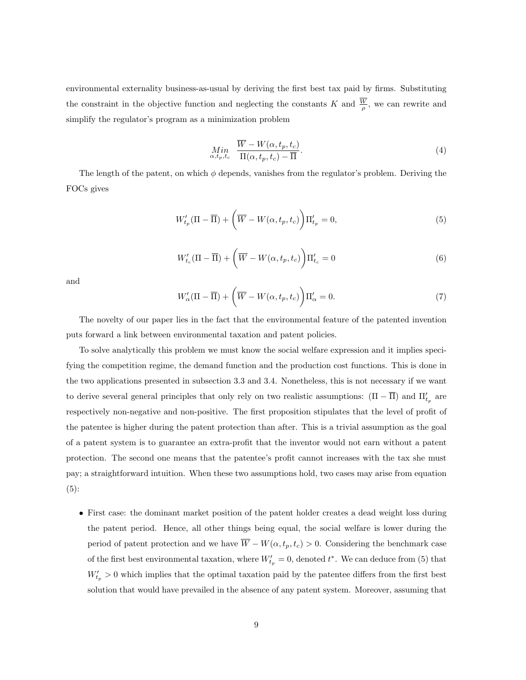environmental externality business-as-usual by deriving the first best tax paid by firms. Substituting the constraint in the objective function and neglecting the constants K and  $\frac{W}{\rho}$ , we can rewrite and simplify the regulator's program as a minimization problem

$$
\underset{\alpha, t_p, t_c}{Min} \frac{\overline{W} - W(\alpha, t_p, t_c)}{\Pi(\alpha, t_p, t_c) - \overline{\Pi}}.
$$
\n
$$
(4)
$$

The length of the patent, on which  $\phi$  depends, vanishes from the regulator's problem. Deriving the FOCs gives

$$
W'_{t_p}(\Pi - \overline{\Pi}) + \left(\overline{W} - W(\alpha, t_p, t_c)\right) \Pi'_{t_p} = 0, \tag{5}
$$

$$
W'_{t_c}(\Pi - \overline{\Pi}) + \left(\overline{W} - W(\alpha, t_p, t_c)\right) \Pi'_{t_c} = 0
$$
\n<sup>(6)</sup>

and

$$
W'_{\alpha}(\Pi - \overline{\Pi}) + \left(\overline{W} - W(\alpha, t_p, t_c)\right) \Pi'_{\alpha} = 0.
$$
\n(7)

The novelty of our paper lies in the fact that the environmental feature of the patented invention puts forward a link between environmental taxation and patent policies.

To solve analytically this problem we must know the social welfare expression and it implies specifying the competition regime, the demand function and the production cost functions. This is done in the two applications presented in subsection 3.3 and 3.4. Nonetheless, this is not necessary if we want to derive several general principles that only rely on two realistic assumptions:  $(\Pi - \overline{\Pi})$  and  $\Pi'_{t_p}$  are respectively non-negative and non-positive. The first proposition stipulates that the level of profit of the patentee is higher during the patent protection than after. This is a trivial assumption as the goal of a patent system is to guarantee an extra-profit that the inventor would not earn without a patent protection. The second one means that the patentee's profit cannot increases with the tax she must pay; a straightforward intuition. When these two assumptions hold, two cases may arise from equation (5):

• First case: the dominant market position of the patent holder creates a dead weight loss during the patent period. Hence, all other things being equal, the social welfare is lower during the period of patent protection and we have  $\overline{W} - W(\alpha, t_p, t_c) > 0$ . Considering the benchmark case of the first best environmental taxation, where  $W'_{t_p} = 0$ , denoted  $t^*$ . We can deduce from (5) that  $W'_{t_p} > 0$  which implies that the optimal taxation paid by the patentee differs from the first best solution that would have prevailed in the absence of any patent system. Moreover, assuming that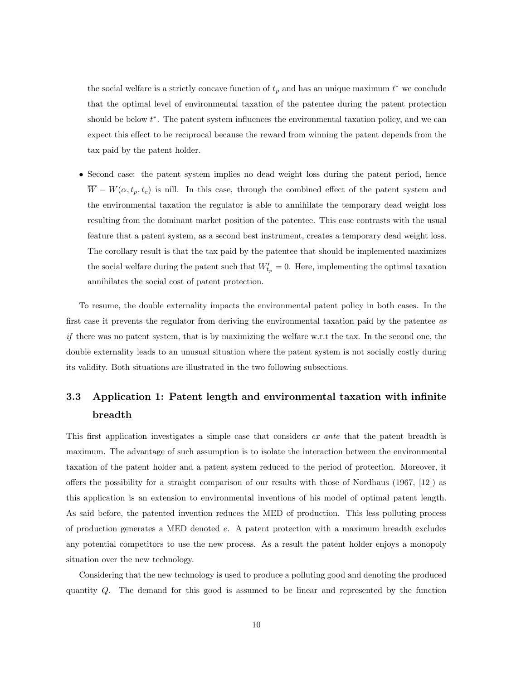the social welfare is a strictly concave function of  $t_p$  and has an unique maximum  $t^*$  we conclude that the optimal level of environmental taxation of the patentee during the patent protection should be below  $t^*$ . The patent system influences the environmental taxation policy, and we can expect this effect to be reciprocal because the reward from winning the patent depends from the tax paid by the patent holder.

• Second case: the patent system implies no dead weight loss during the patent period, hence  $\overline{W} - W(\alpha, t_p, t_c)$  is nill. In this case, through the combined effect of the patent system and the environmental taxation the regulator is able to annihilate the temporary dead weight loss resulting from the dominant market position of the patentee. This case contrasts with the usual feature that a patent system, as a second best instrument, creates a temporary dead weight loss. The corollary result is that the tax paid by the patentee that should be implemented maximizes the social welfare during the patent such that  $W'_{t_p} = 0$ . Here, implementing the optimal taxation annihilates the social cost of patent protection.

To resume, the double externality impacts the environmental patent policy in both cases. In the first case it prevents the regulator from deriving the environmental taxation paid by the patentee as  $if$  there was no patent system, that is by maximizing the welfare w.r.t the tax. In the second one, the double externality leads to an unusual situation where the patent system is not socially costly during its validity. Both situations are illustrated in the two following subsections.

## 3.3 Application 1: Patent length and environmental taxation with infinite breadth

This first application investigates a simple case that considers ex ante that the patent breadth is maximum. The advantage of such assumption is to isolate the interaction between the environmental taxation of the patent holder and a patent system reduced to the period of protection. Moreover, it offers the possibility for a straight comparison of our results with those of Nordhaus (1967, [12]) as this application is an extension to environmental inventions of his model of optimal patent length. As said before, the patented invention reduces the MED of production. This less polluting process of production generates a MED denoted e. A patent protection with a maximum breadth excludes any potential competitors to use the new process. As a result the patent holder enjoys a monopoly situation over the new technology.

Considering that the new technology is used to produce a polluting good and denoting the produced quantity Q. The demand for this good is assumed to be linear and represented by the function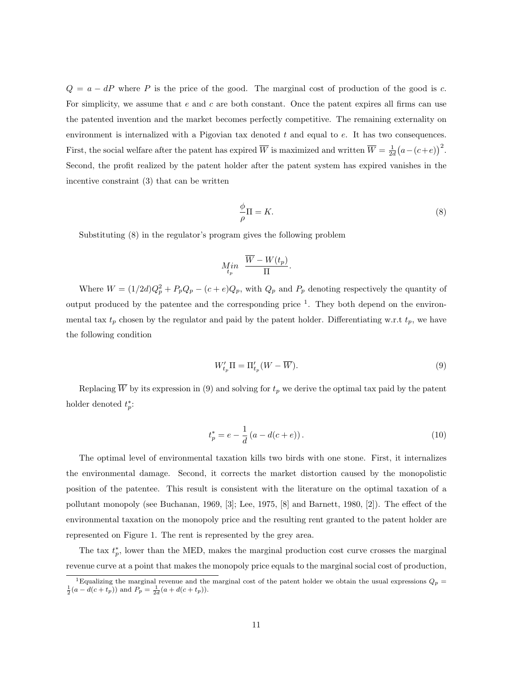$Q = a - dP$  where P is the price of the good. The marginal cost of production of the good is c. For simplicity, we assume that  $e$  and  $c$  are both constant. Once the patent expires all firms can use the patented invention and the market becomes perfectly competitive. The remaining externality on environment is internalized with a Pigovian tax denoted  $t$  and equal to  $e$ . It has two consequences. First, the social welfare after the patent has expired  $\overline{W}$  is maximized and written  $\overline{W} = \frac{1}{2d}(a - (c+e))^2$ . Second, the profit realized by the patent holder after the patent system has expired vanishes in the incentive constraint (3) that can be written

$$
\frac{\phi}{\rho}\Pi = K.\tag{8}
$$

Substituting (8) in the regulator's program gives the following problem

$$
M_{t_p}^{\dagger n} \frac{\overline{W} - W(t_p)}{\Pi}.
$$

Where  $W = (1/2d)Q_p^2 + P_pQ_p - (c + e)Q_p$ , with  $Q_p$  and  $P_p$  denoting respectively the quantity of output produced by the patentee and the corresponding price  $<sup>1</sup>$ . They both depend on the environ-</sup> mental tax  $t_p$  chosen by the regulator and paid by the patent holder. Differentiating w.r.t  $t_p$ , we have the following condition

$$
W'_{t_p} \Pi = \Pi'_{t_p} (W - \overline{W}). \tag{9}
$$

Replacing  $\overline{W}$  by its expression in (9) and solving for  $t_p$  we derive the optimal tax paid by the patent holder denoted  $t_p^*$ :

$$
t_p^* = e - \frac{1}{d} (a - d(c + e)).
$$
\n(10)

The optimal level of environmental taxation kills two birds with one stone. First, it internalizes the environmental damage. Second, it corrects the market distortion caused by the monopolistic position of the patentee. This result is consistent with the literature on the optimal taxation of a pollutant monopoly (see Buchanan, 1969, [3]; Lee, 1975, [8] and Barnett, 1980, [2]). The effect of the environmental taxation on the monopoly price and the resulting rent granted to the patent holder are represented on Figure 1. The rent is represented by the grey area.

The tax  $t_p^*$ , lower than the MED, makes the marginal production cost curve crosses the marginal revenue curve at a point that makes the monopoly price equals to the marginal social cost of production,

<sup>&</sup>lt;sup>1</sup>Equalizing the marginal revenue and the marginal cost of the patent holder we obtain the usual expressions  $Q_p = \frac{1}{2}(a - d(c + t_p))$  and  $P_p = \frac{1}{2d}(a + d(c + t_p))$ .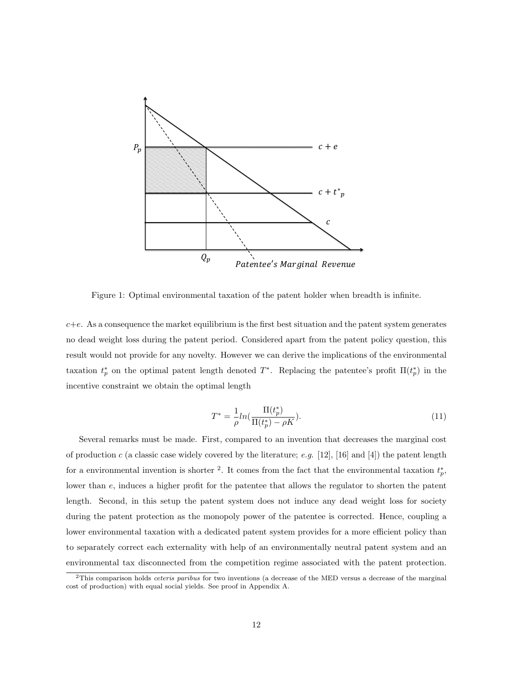

Figure 1: Optimal environmental taxation of the patent holder when breadth is infinite.

 $c+e$ . As a consequence the market equilibrium is the first best situation and the patent system generates no dead weight loss during the patent period. Considered apart from the patent policy question, this result would not provide for any novelty. However we can derive the implications of the environmental taxation  $t_p^*$  on the optimal patent length denoted  $T^*$ . Replacing the patentee's profit  $\Pi(t_p^*)$  in the incentive constraint we obtain the optimal length

$$
T^* = \frac{1}{\rho} ln(\frac{\Pi(t_p^*)}{\Pi(t_p^*) - \rho K}).
$$
\n(11)

Several remarks must be made. First, compared to an invention that decreases the marginal cost of production c (a classic case widely covered by the literature; e.g. [12], [16] and [4]) the patent length for a environmental invention is shorter <sup>2</sup>. It comes from the fact that the environmental taxation  $t_p^*$ , lower than e, induces a higher profit for the patentee that allows the regulator to shorten the patent length. Second, in this setup the patent system does not induce any dead weight loss for society during the patent protection as the monopoly power of the patentee is corrected. Hence, coupling a lower environmental taxation with a dedicated patent system provides for a more efficient policy than to separately correct each externality with help of an environmentally neutral patent system and an environmental tax disconnected from the competition regime associated with the patent protection.

 $2$ This comparison holds *ceteris paribus* for two inventions (a decrease of the MED versus a decrease of the marginal cost of production) with equal social yields. See proof in Appendix A.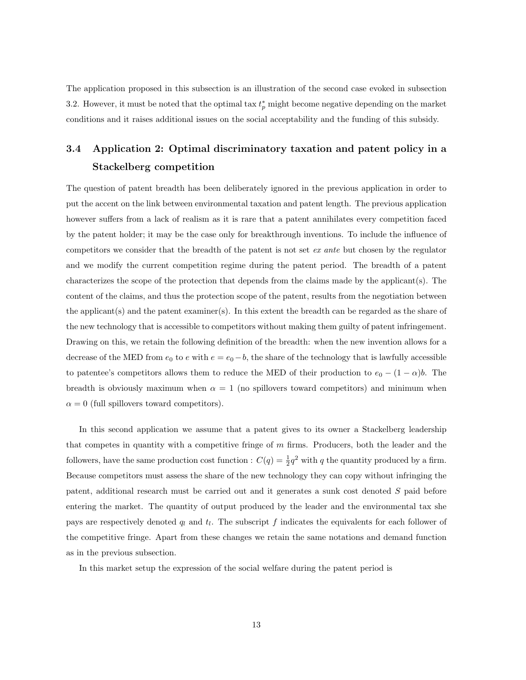The application proposed in this subsection is an illustration of the second case evoked in subsection 3.2. However, it must be noted that the optimal tax  $t_p^*$  might become negative depending on the market conditions and it raises additional issues on the social acceptability and the funding of this subsidy.

## 3.4 Application 2: Optimal discriminatory taxation and patent policy in a Stackelberg competition

The question of patent breadth has been deliberately ignored in the previous application in order to put the accent on the link between environmental taxation and patent length. The previous application however suffers from a lack of realism as it is rare that a patent annihilates every competition faced by the patent holder; it may be the case only for breakthrough inventions. To include the influence of competitors we consider that the breadth of the patent is not set ex ante but chosen by the regulator and we modify the current competition regime during the patent period. The breadth of a patent characterizes the scope of the protection that depends from the claims made by the applicant(s). The content of the claims, and thus the protection scope of the patent, results from the negotiation between the applicant(s) and the patent examiner(s). In this extent the breadth can be regarded as the share of the new technology that is accessible to competitors without making them guilty of patent infringement. Drawing on this, we retain the following definition of the breadth: when the new invention allows for a decrease of the MED from  $e_0$  to  $e$  with  $e = e_0 - b$ , the share of the technology that is lawfully accessible to patentee's competitors allows them to reduce the MED of their production to  $e_0 - (1 - \alpha)b$ . The breadth is obviously maximum when  $\alpha = 1$  (no spillovers toward competitors) and minimum when  $\alpha = 0$  (full spillovers toward competitors).

In this second application we assume that a patent gives to its owner a Stackelberg leadership that competes in quantity with a competitive fringe of  $m$  firms. Producers, both the leader and the followers, have the same production cost function :  $C(q) = \frac{1}{2}q^2$  with q the quantity produced by a firm. Because competitors must assess the share of the new technology they can copy without infringing the patent, additional research must be carried out and it generates a sunk cost denoted S paid before entering the market. The quantity of output produced by the leader and the environmental tax she pays are respectively denoted  $q_l$  and  $t_l$ . The subscript f indicates the equivalents for each follower of the competitive fringe. Apart from these changes we retain the same notations and demand function as in the previous subsection.

In this market setup the expression of the social welfare during the patent period is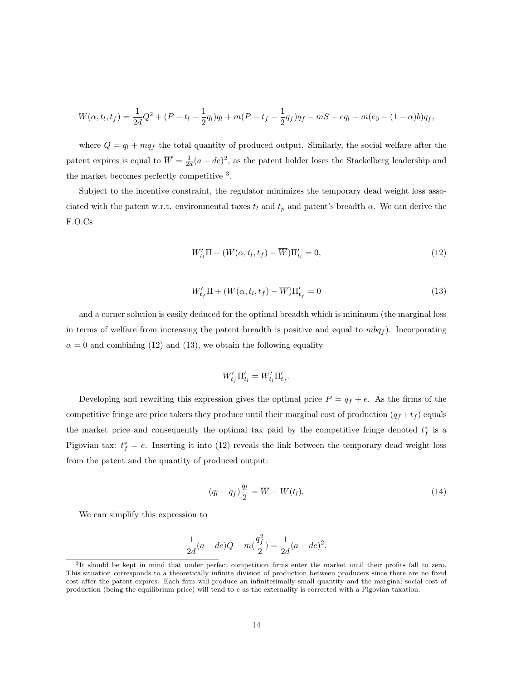$$
W(\alpha, t_l, t_f) = \frac{1}{2d}Q^2 + (P - t_l - \frac{1}{2}q_l)q_l + m(P - t_f - \frac{1}{2}q_f)q_f - mS - eq_l - m(e_0 - (1 - \alpha)b)q_f,
$$

where  $Q = q_l + mq_f$  the total quantity of produced output. Similarly, the social welfare after the patent expires is equal to  $\overline{W} = \frac{1}{2d}(a - de)^2$ , as the patent holder loses the Stackelberg leadership and the market becomes perfectly competitive <sup>3</sup>.

Subject to the incentive constraint, the regulator minimizes the temporary dead weight loss associated with the patent w.r.t. environmental taxes  $t_l$  and  $t_p$  and patent's breadth  $\alpha$ . We can derive the F.O.Cs

$$
W'_{t_l} \Pi + (W(\alpha, t_l, t_f) - \overline{W}) \Pi'_{t_l} = 0, \qquad (12)
$$

$$
W'_{t_f} \Pi + (W(\alpha, t_l, t_f) - \overline{W}) \Pi'_{t_f} = 0 \tag{13}
$$

and a corner solution is easily deduced for the optimal breadth which is minimum (the marginal loss in terms of welfare from increasing the patent breadth is positive and equal to  $mbq_f$ ). Incorporating  $\alpha = 0$  and combining (12) and (13), we obtain the following equality

$$
W'_{t_f} \Pi'_{t_l} = W'_{t_l} \Pi'_{t_f}.
$$

Developing and rewriting this expression gives the optimal price  $P = q_f + e$ . As the firms of the competitive fringe are price takers they produce until their marginal cost of production  $(q_f + t_f)$  equals the market price and consequently the optimal tax paid by the competitive fringe denoted  $t_f^*$  is a Pigovian tax:  $t_f^* = e$ . Inserting it into (12) reveals the link between the temporary dead weight loss from the patent and the quantity of produced output:

$$
(q_l - q_f)\frac{q_l}{2} = \overline{W} - W(t_l). \tag{14}
$$

We can simplify this expression to

$$
\frac{1}{2d}(a - de)Q - m\left(\frac{q_f^2}{2}\right) = \frac{1}{2d}(a - de)^2.
$$

<sup>3</sup> It should be kept in mind that under perfect competition firms enter the market until their profits fall to zero. This situation corresponds to a theoretically infinite division of production between producers since there are no fixed cost after the patent expires. Each firm will produce an infinitesimally small quantity and the marginal social cost of production (being the equilibrium price) will tend to e as the externality is corrected with a Pigovian taxation.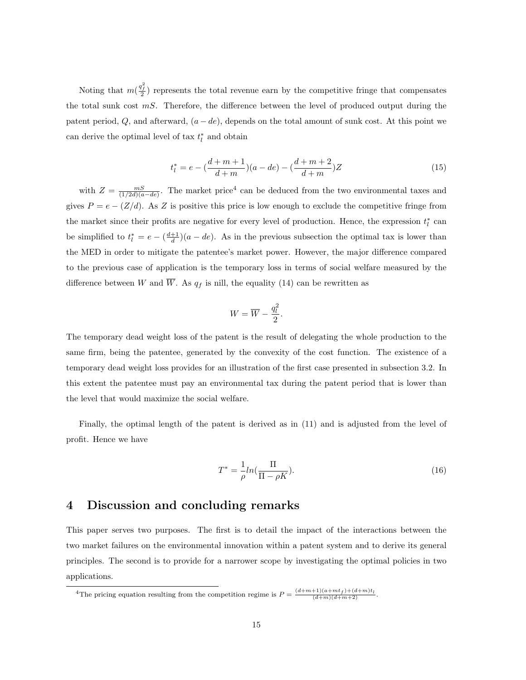Noting that  $m(\frac{q_i^2}{2})$  represents the total revenue earn by the competitive fringe that compensates the total sunk cost  $mS$ . Therefore, the difference between the level of produced output during the patent period,  $Q$ , and afterward,  $(a - de)$ , depends on the total amount of sunk cost. At this point we can derive the optimal level of tax  $t_l^*$  and obtain

$$
t_l^* = e - \left(\frac{d+m+1}{d+m}\right)(a - de) - \left(\frac{d+m+2}{d+m}\right)Z\tag{15}
$$

with  $Z = \frac{mS}{(1/2d)(a-de)}$ . The market price<sup>4</sup> can be deduced from the two environmental taxes and gives  $P = e - (Z/d)$ . As Z is positive this price is low enough to exclude the competitive fringe from the market since their profits are negative for every level of production. Hence, the expression  $t_l^*$  can be simplified to  $t_l^* = e - \left(\frac{d+1}{d}\right)(a - de)$ . As in the previous subsection the optimal tax is lower than the MED in order to mitigate the patentee's market power. However, the major difference compared to the previous case of application is the temporary loss in terms of social welfare measured by the difference between W and  $\overline{W}$ . As  $q_f$  is nill, the equality (14) can be rewritten as

$$
W = \overline{W} - \frac{q_l^2}{2}.
$$

The temporary dead weight loss of the patent is the result of delegating the whole production to the same firm, being the patentee, generated by the convexity of the cost function. The existence of a temporary dead weight loss provides for an illustration of the first case presented in subsection 3.2. In this extent the patentee must pay an environmental tax during the patent period that is lower than the level that would maximize the social welfare.

Finally, the optimal length of the patent is derived as in (11) and is adjusted from the level of profit. Hence we have

$$
T^* = \frac{1}{\rho} ln(\frac{\Pi}{\Pi - \rho K}).
$$
\n(16)

#### 4 Discussion and concluding remarks

This paper serves two purposes. The first is to detail the impact of the interactions between the two market failures on the environmental innovation within a patent system and to derive its general principles. The second is to provide for a narrower scope by investigating the optimal policies in two applications.

<sup>4</sup>The pricing equation resulting from the competition regime is  $P = \frac{(d+m+1)(a+mt_f)+(d+m)t_l}{(d+m)(d+m+2)}$ .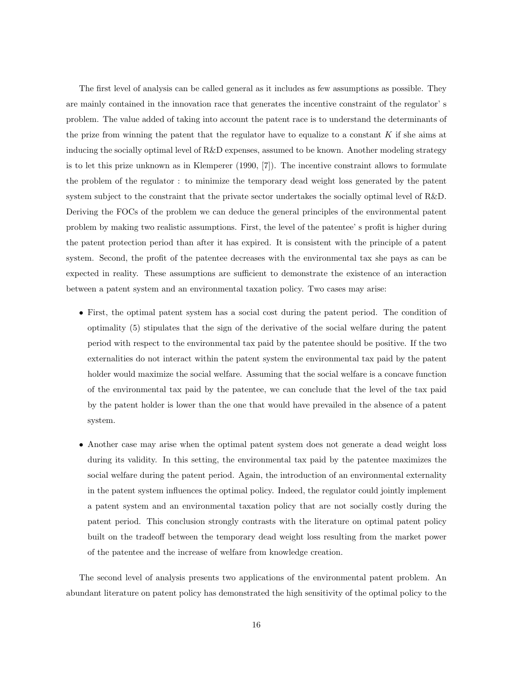The first level of analysis can be called general as it includes as few assumptions as possible. They are mainly contained in the innovation race that generates the incentive constraint of the regulator' s problem. The value added of taking into account the patent race is to understand the determinants of the prize from winning the patent that the regulator have to equalize to a constant  $K$  if she aims at inducing the socially optimal level of R&D expenses, assumed to be known. Another modeling strategy is to let this prize unknown as in Klemperer (1990, [7]). The incentive constraint allows to formulate the problem of the regulator : to minimize the temporary dead weight loss generated by the patent system subject to the constraint that the private sector undertakes the socially optimal level of R&D. Deriving the FOCs of the problem we can deduce the general principles of the environmental patent problem by making two realistic assumptions. First, the level of the patentee' s profit is higher during the patent protection period than after it has expired. It is consistent with the principle of a patent system. Second, the profit of the patentee decreases with the environmental tax she pays as can be expected in reality. These assumptions are sufficient to demonstrate the existence of an interaction between a patent system and an environmental taxation policy. Two cases may arise:

- First, the optimal patent system has a social cost during the patent period. The condition of optimality (5) stipulates that the sign of the derivative of the social welfare during the patent period with respect to the environmental tax paid by the patentee should be positive. If the two externalities do not interact within the patent system the environmental tax paid by the patent holder would maximize the social welfare. Assuming that the social welfare is a concave function of the environmental tax paid by the patentee, we can conclude that the level of the tax paid by the patent holder is lower than the one that would have prevailed in the absence of a patent system.
- Another case may arise when the optimal patent system does not generate a dead weight loss during its validity. In this setting, the environmental tax paid by the patentee maximizes the social welfare during the patent period. Again, the introduction of an environmental externality in the patent system influences the optimal policy. Indeed, the regulator could jointly implement a patent system and an environmental taxation policy that are not socially costly during the patent period. This conclusion strongly contrasts with the literature on optimal patent policy built on the tradeoff between the temporary dead weight loss resulting from the market power of the patentee and the increase of welfare from knowledge creation.

The second level of analysis presents two applications of the environmental patent problem. An abundant literature on patent policy has demonstrated the high sensitivity of the optimal policy to the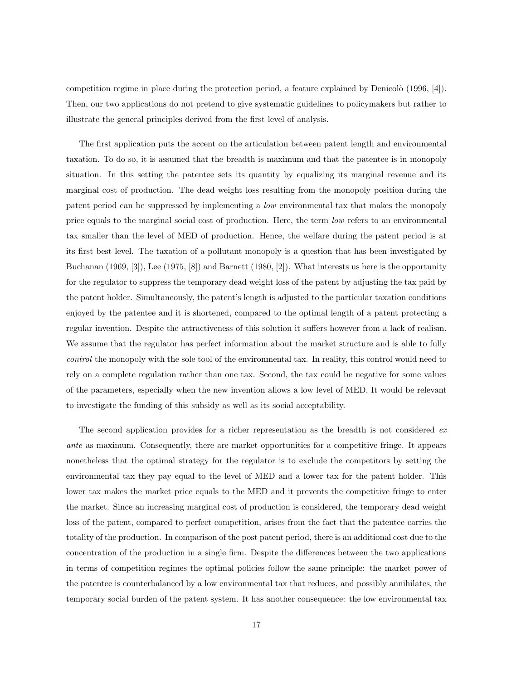competition regime in place during the protection period, a feature explained by Denicolò  $(1996, 4)$ . Then, our two applications do not pretend to give systematic guidelines to policymakers but rather to illustrate the general principles derived from the first level of analysis.

The first application puts the accent on the articulation between patent length and environmental taxation. To do so, it is assumed that the breadth is maximum and that the patentee is in monopoly situation. In this setting the patentee sets its quantity by equalizing its marginal revenue and its marginal cost of production. The dead weight loss resulting from the monopoly position during the patent period can be suppressed by implementing a low environmental tax that makes the monopoly price equals to the marginal social cost of production. Here, the term low refers to an environmental tax smaller than the level of MED of production. Hence, the welfare during the patent period is at its first best level. The taxation of a pollutant monopoly is a question that has been investigated by Buchanan (1969, [3]), Lee (1975, [8]) and Barnett (1980, [2]). What interests us here is the opportunity for the regulator to suppress the temporary dead weight loss of the patent by adjusting the tax paid by the patent holder. Simultaneously, the patent's length is adjusted to the particular taxation conditions enjoyed by the patentee and it is shortened, compared to the optimal length of a patent protecting a regular invention. Despite the attractiveness of this solution it suffers however from a lack of realism. We assume that the regulator has perfect information about the market structure and is able to fully control the monopoly with the sole tool of the environmental tax. In reality, this control would need to rely on a complete regulation rather than one tax. Second, the tax could be negative for some values of the parameters, especially when the new invention allows a low level of MED. It would be relevant to investigate the funding of this subsidy as well as its social acceptability.

The second application provides for a richer representation as the breadth is not considered exante as maximum. Consequently, there are market opportunities for a competitive fringe. It appears nonetheless that the optimal strategy for the regulator is to exclude the competitors by setting the environmental tax they pay equal to the level of MED and a lower tax for the patent holder. This lower tax makes the market price equals to the MED and it prevents the competitive fringe to enter the market. Since an increasing marginal cost of production is considered, the temporary dead weight loss of the patent, compared to perfect competition, arises from the fact that the patentee carries the totality of the production. In comparison of the post patent period, there is an additional cost due to the concentration of the production in a single firm. Despite the differences between the two applications in terms of competition regimes the optimal policies follow the same principle: the market power of the patentee is counterbalanced by a low environmental tax that reduces, and possibly annihilates, the temporary social burden of the patent system. It has another consequence: the low environmental tax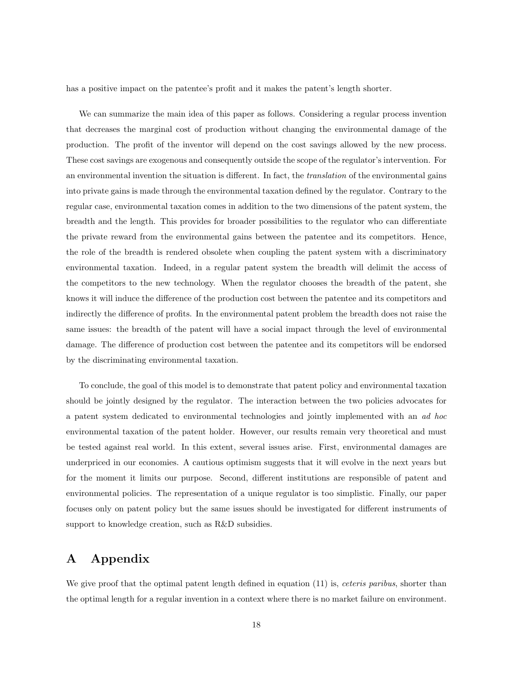has a positive impact on the patentee's profit and it makes the patent's length shorter.

We can summarize the main idea of this paper as follows. Considering a regular process invention that decreases the marginal cost of production without changing the environmental damage of the production. The profit of the inventor will depend on the cost savings allowed by the new process. These cost savings are exogenous and consequently outside the scope of the regulator's intervention. For an environmental invention the situation is different. In fact, the *translation* of the environmental gains into private gains is made through the environmental taxation defined by the regulator. Contrary to the regular case, environmental taxation comes in addition to the two dimensions of the patent system, the breadth and the length. This provides for broader possibilities to the regulator who can differentiate the private reward from the environmental gains between the patentee and its competitors. Hence, the role of the breadth is rendered obsolete when coupling the patent system with a discriminatory environmental taxation. Indeed, in a regular patent system the breadth will delimit the access of the competitors to the new technology. When the regulator chooses the breadth of the patent, she knows it will induce the difference of the production cost between the patentee and its competitors and indirectly the difference of profits. In the environmental patent problem the breadth does not raise the same issues: the breadth of the patent will have a social impact through the level of environmental damage. The difference of production cost between the patentee and its competitors will be endorsed by the discriminating environmental taxation.

To conclude, the goal of this model is to demonstrate that patent policy and environmental taxation should be jointly designed by the regulator. The interaction between the two policies advocates for a patent system dedicated to environmental technologies and jointly implemented with an ad hoc environmental taxation of the patent holder. However, our results remain very theoretical and must be tested against real world. In this extent, several issues arise. First, environmental damages are underpriced in our economies. A cautious optimism suggests that it will evolve in the next years but for the moment it limits our purpose. Second, different institutions are responsible of patent and environmental policies. The representation of a unique regulator is too simplistic. Finally, our paper focuses only on patent policy but the same issues should be investigated for different instruments of support to knowledge creation, such as R&D subsidies.

### A Appendix

We give proof that the optimal patent length defined in equation (11) is, *ceteris paribus*, shorter than the optimal length for a regular invention in a context where there is no market failure on environment.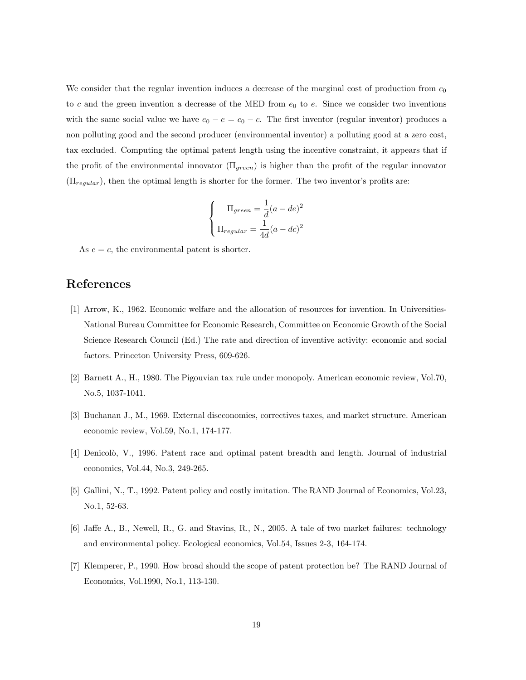We consider that the regular invention induces a decrease of the marginal cost of production from  $c_0$ to c and the green invention a decrease of the MED from  $e_0$  to e. Since we consider two inventions with the same social value we have  $e_0 - e = c_0 - c$ . The first inventor (regular inventor) produces a non polluting good and the second producer (environmental inventor) a polluting good at a zero cost, tax excluded. Computing the optimal patent length using the incentive constraint, it appears that if the profit of the environmental innovator  $(\Pi_{green})$  is higher than the profit of the regular innovator  $(\Pi_{regular})$ , then the optimal length is shorter for the former. The two inventor's profits are:

$$
\begin{cases}\n\Pi_{green} = \frac{1}{d}(a - de)^2 \\
\Pi_{regular} = \frac{1}{4d}(a - dc)^2\n\end{cases}
$$

As  $e = c$ , the environmental patent is shorter.

### References

- [1] Arrow, K., 1962. Economic welfare and the allocation of resources for invention. In Universities-National Bureau Committee for Economic Research, Committee on Economic Growth of the Social Science Research Council (Ed.) The rate and direction of inventive activity: economic and social factors. Princeton University Press, 609-626.
- [2] Barnett A., H., 1980. The Pigouvian tax rule under monopoly. American economic review, Vol.70, No.5, 1037-1041.
- [3] Buchanan J., M., 1969. External diseconomies, correctives taxes, and market structure. American economic review, Vol.59, No.1, 174-177.
- [4] Denicolò, V., 1996. Patent race and optimal patent breadth and length. Journal of industrial economics, Vol.44, No.3, 249-265.
- [5] Gallini, N., T., 1992. Patent policy and costly imitation. The RAND Journal of Economics, Vol.23, No.1, 52-63.
- [6] Jaffe A., B., Newell, R., G. and Stavins, R., N., 2005. A tale of two market failures: technology and environmental policy. Ecological economics, Vol.54, Issues 2-3, 164-174.
- [7] Klemperer, P., 1990. How broad should the scope of patent protection be? The RAND Journal of Economics, Vol.1990, No.1, 113-130.